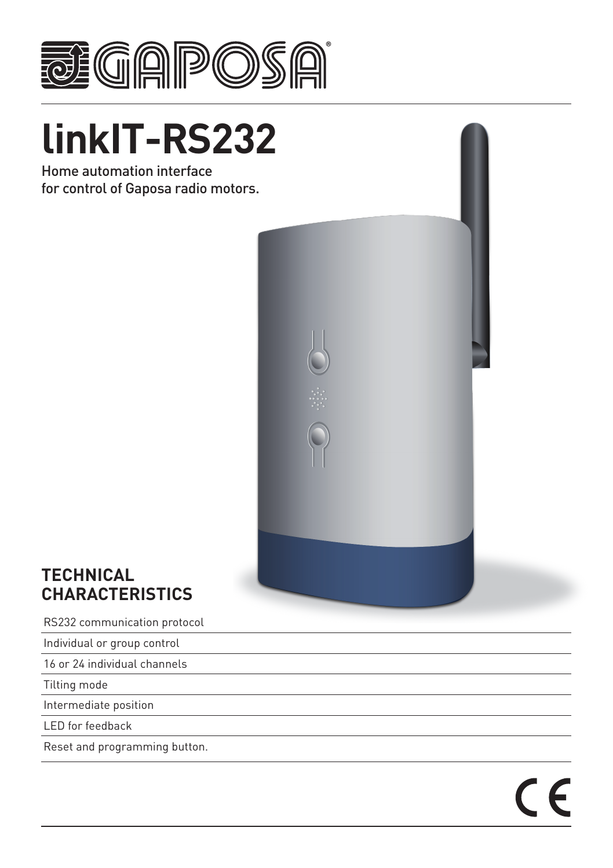

# **linkIT-RS232**

Home automation interface for control of Gaposa radio motors.



 $\epsilon$ 

# **TECHNICAL CHARACTERISTICS**

RS232 communication protocol

Individual or group control

16 or 24 individual channels

Tilting mode

Intermediate position

LED for feedback

Reset and programming button.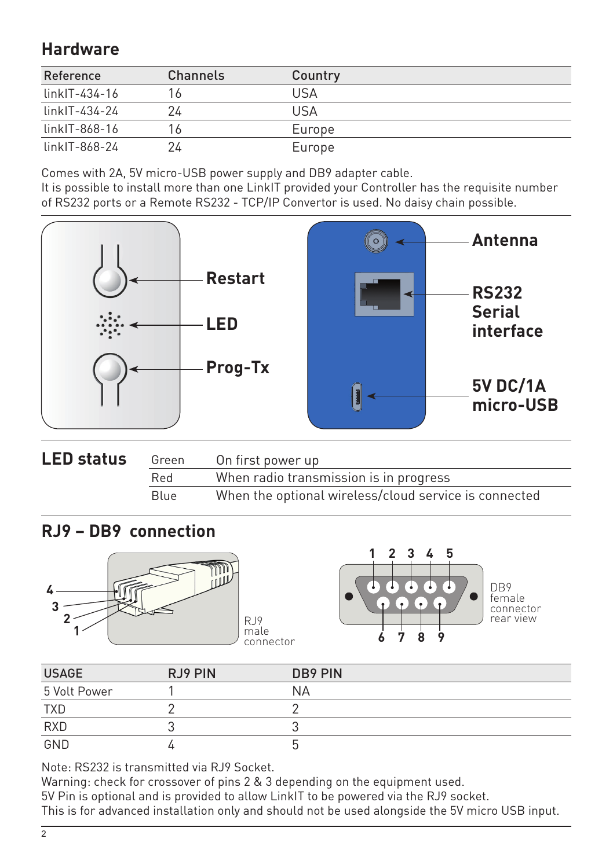# **Hardware**

| Reference       | Channels | Country |
|-----------------|----------|---------|
| linkIT-434-16   |          | USA     |
| linkIT-434-24   | 24       | USA     |
| $linkIT-868-16$ | 16.      | Europe  |
| linkIT-868-24   | 24       | Europe  |

Comes with 2A, 5V micro-USB power supply and DB9 adapter cable.

It is possible to install more than one LinkIT provided your Controller has the requisite number of RS232 ports or a Remote RS232 - TCP/IP Convertor is used. No daisy chain possible.



| <b>LED status</b><br>On first power up<br>Green |             |                                                       |
|-------------------------------------------------|-------------|-------------------------------------------------------|
| Red                                             |             | When radio transmission is in progress                |
|                                                 | <b>Blue</b> | When the optional wireless/cloud service is connected |

## **RJ9 – DB9 connection**





female connector rear view

| <b>USAGE</b> | RJ9 PIN | DB9 PIN |
|--------------|---------|---------|
| 5 Volt Power |         | NΑ      |
| <b>TXD</b>   |         |         |
| <b>RXD</b>   |         |         |
| GND          |         |         |

Note: RS232 is transmitted via RJ9 Socket.

Warning: check for crossover of pins 2 & 3 depending on the equipment used.

5V Pin is optional and is provided to allow LinkIT to be powered via the RJ9 socket.

This is for advanced installation only and should not be used alongside the 5V micro USB input.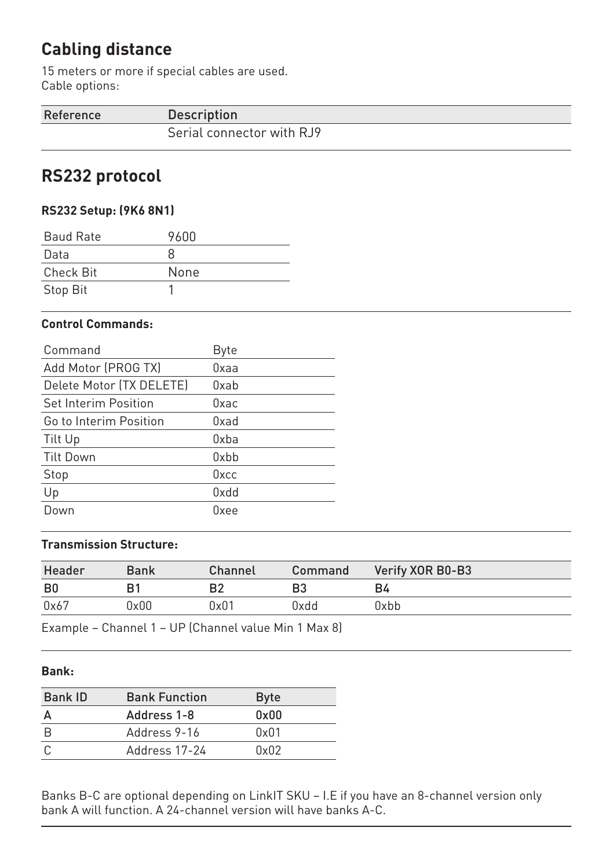# **Cabling distance**

15 meters or more if special cables are used. Cable options:

| Reference | <b>Description</b>        |
|-----------|---------------------------|
|           | Serial connector with RJ9 |

# **RS232 protocol**

## **RS232 Setup: (9K6 8N1)**

| <b>Baud Rate</b> | 9600 |
|------------------|------|
| Data             | x    |
| Check Bit        | None |
| Stop Bit         |      |

#### **Control Commands:**

| Command                     | <b>Byte</b> |
|-----------------------------|-------------|
| Add Motor (PROG TX)         | Oxaa        |
| Delete Motor (TX DELETE)    | Oxab        |
| <b>Set Interim Position</b> | Oxac        |
| Go to Interim Position      | Oxad        |
| Tilt Up                     | Oxba        |
| <b>Tilt Down</b>            | Oxbb        |
| Stop                        | Oxcc        |
| Up                          | 0xdd        |
| Down                        | Oxee        |

## **Transmission Structure:**

| Header         | Bank | Channel | Command | Verify XOR B0-B3 |
|----------------|------|---------|---------|------------------|
| B <sub>0</sub> |      | B2      | B3      | B4               |
| 0x67           | 0x00 | 0x01    | bbx0    | 9xbb             |

Example – Channel 1 – UP (Channel value Min 1 Max 8)

### **Bank:**

| <b>Bank Function</b> | <b>Byte</b> |
|----------------------|-------------|
| Address 1-8          | 0x00        |
| Address 9-16         | 0x01        |
| Address 17-24        | 0x02        |
|                      |             |

Banks B-C are optional depending on LinkIT SKU – I.E if you have an 8-channel version only bank A will function. A 24-channel version will have banks A-C.